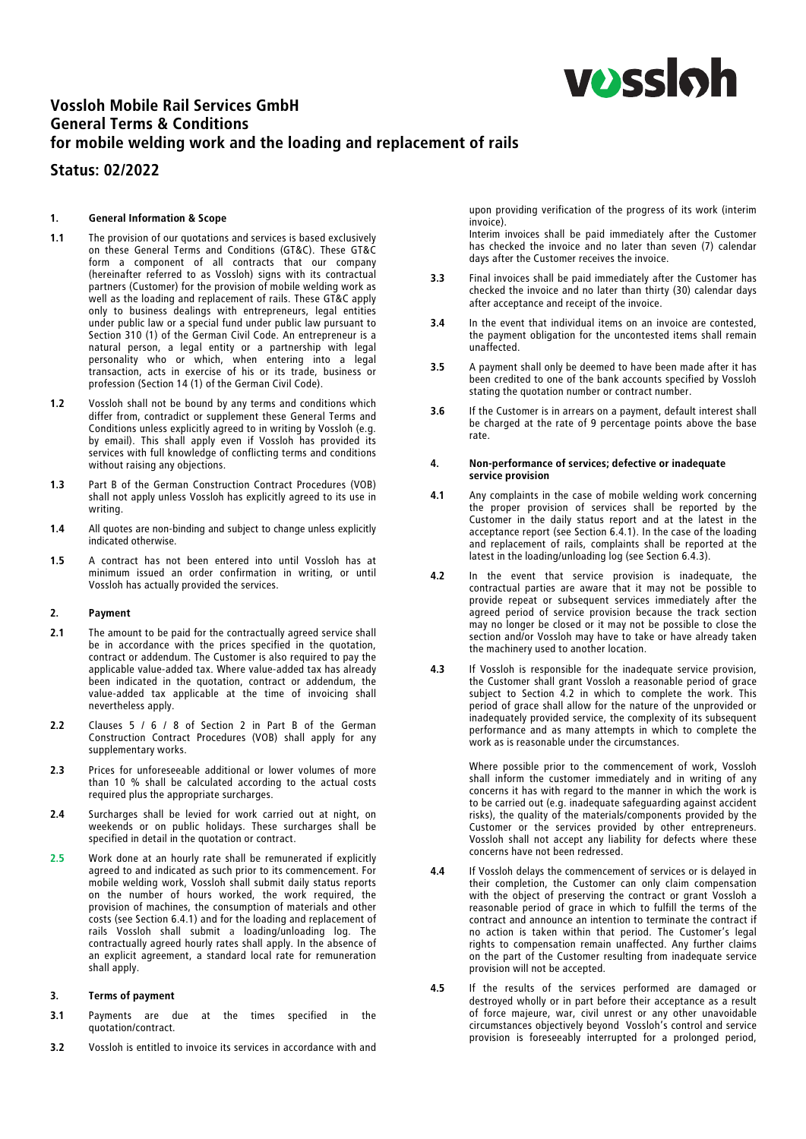

# Vossloh Mobile Rail Services GmbH General Terms & Conditions for mobile welding work and the loading and replacement of rails

# Status: 02/2022

#### 1. General Information & Scope

- 1.1 The provision of our quotations and services is based exclusively<br>on these General Terms and Conditions (GT&C). These GT&C form a component of all contracts that our company (hereinafter referred to as Vossloh) signs with its contractual (hereinafter referred to as Vossloh) signs with its contractual partners (Customer) for the provision of mobile welding work as well as the loading and replacement of rails. These GT&C apply only to business dealings with entrepreneurs, legal entities under public law or a special fund under public law pursuant to Section 310 (1) of the German Civil Code. An entrepreneur is a natural person, a legal entity or a partnership with legal personality who or which, when entering into a legal transaction, acts in exercise of his or its trade, business or profession (Section 14 (1) of the German Civil Code).
- 1.2 Vossloh shall not be bound by any terms and conditions which differ from, contradict or supplement these General Terms and Conditions unless explicitly agreed to in writing by Vossloh (e.g.<br>by email). This shall apply even if Vossloh has provided its by email). This shall apply even if Vossloh has provided its services with full knowledge of conflicting terms and conditions without raising any objections.
- 1.3 Part B of the German Construction Contract Procedures (VOB) shall not apply unless Vossloh has explicitly agreed to its use in writing.
- 1.4 All quotes are non-binding and subject to change unless explicitly indicated otherwise.
- 1.5 A contract has not been entered into until Vossloh has at minimum issued an order confirmation in writing, or until Vossloh has actually provided the services.

# 2. Payment

- 2.1 The amount to be paid for the contractually agreed service shall be in accordance with the prices specified in the quotation, contract or addendum. The Customer is also required to pay the applicable value-added tax. Where value-added tax has already been indicated in the quotation, contract or addendum, the value-added tax applicable at the time of invoicing shall nevertheless apply.
- 2.2 Clauses 5 / 6 / 8 of Section 2 in Part B of the German Construction Contract Procedures (VOB) shall apply for any supplementary works.
- 2.3 Prices for unforeseeable additional or lower volumes of more than 10 % shall be calculated according to the actual costs required plus the appropriate surcharges.
- 2.4 Surcharges shall be levied for work carried out at night, on weekends or on public holidays. These surcharges shall be specified in detail in the quotation or contract.
- 2.5 Work done at an hourly rate shall be remunerated if explicitly agreed to and indicated as such prior to its commencement. For mobile welding work, Vossloh shall submit daily status reports on the number of hours worked, the work required, the provision of machines, the consumption of materials and other costs (see Section 6.4.1) and for the loading and replacement of rails Vossloh shall submit a loading/unloading log. The contractually agreed hourly rates shall apply. In the absence of an explicit agreement, a standard local rate for remuneration shall apply.

#### 3. Terms of payment

- 3.1 Payments are due at the times specified in the quotation/contract.
- 3.2 Vossloh is entitled to invoice its services in accordance with and

upon providing verification of the progress of its work (interim invoice).

Interim invoices shall be paid immediately after the Customer has checked the invoice and no later than seven (7) calendar days after the Customer receives the invoice.

- 3.3 Final invoices shall be paid immediately after the Customer has checked the invoice and no later than thirty (30) calendar days after acceptance and receipt of the invoice.
- 3.4 In the event that individual items on an invoice are contested, the payment obligation for the uncontested items shall remain unaffected.
- 3.5 A payment shall only be deemed to have been made after it has been credited to one of the bank accounts specified by Vossloh stating the quotation number or contract number.
- 3.6 If the Customer is in arrears on a payment, default interest shall be charged at the rate of 9 percentage points above the base rate.

#### 4. Non-performance of services; defective or inadequate service provision

- 4.1 Any complaints in the case of mobile welding work concerning the proper provision of services shall be reported by the Customer in the daily status report and at the latest in the acceptance report (see Section 6.4.1). In the case of the loading acceptance report (see Section 6.4.1). In the case of the loading and replacement of rails, complaints shall be reported at the latest in the loading/unloading log (see Section 6.4.3).
- 4.2 In the event that service provision is inadequate, the contractual parties are aware that it may not be possible to provide repeat or subsequent services immediately after the agreed period of service provision because the track section may no longer be closed or it may not be possible to close the section and/or Vossloh may have to take or have already taken the machinery used to another location.
- 4.3 If Vossloh is responsible for the inadequate service provision, the Customer shall grant Vossloh a reasonable period of grace subject to Section 4.2 in which to complete the work. This period of grace shall allow for the nature of the unprovided or inadequately provided service, the complexity of its subsequent performance and as many attempts in which to complete the work as is reasonable under the circumstances.

Where possible prior to the commencement of work, Vossloh shall inform the customer immediately and in writing of any concerns it has with regard to the manner in which the work is to be carried out (e.g. inadequate safeguarding against accident risks), the quality of the materials/components provided by the Customer or the services provided by other entrepreneurs. Vossloh shall not accept any liability for defects where these concerns have not been redressed.

- 4.4 If Vossloh delays the commencement of services or is delayed in their completion, the Customer can only claim compensation with the object of preserving the contract or grant Vossloh a reasonable period of grace in which to fulfill the terms of the contract and announce an intention to terminate the contract if no action is taken within that period. The Customer's legal rights to compensation remain unaffected. Any further claims on the part of the Customer resulting from inadequate service provision will not be accepted.
- 4.5 If the results of the services performed are damaged or destroyed wholly or in part before their acceptance as a result of force majeure, war, civil unrest or any other unavoidable circumstances objectively beyond Vossloh's control and service provision is foreseeably interrupted for a prolonged period,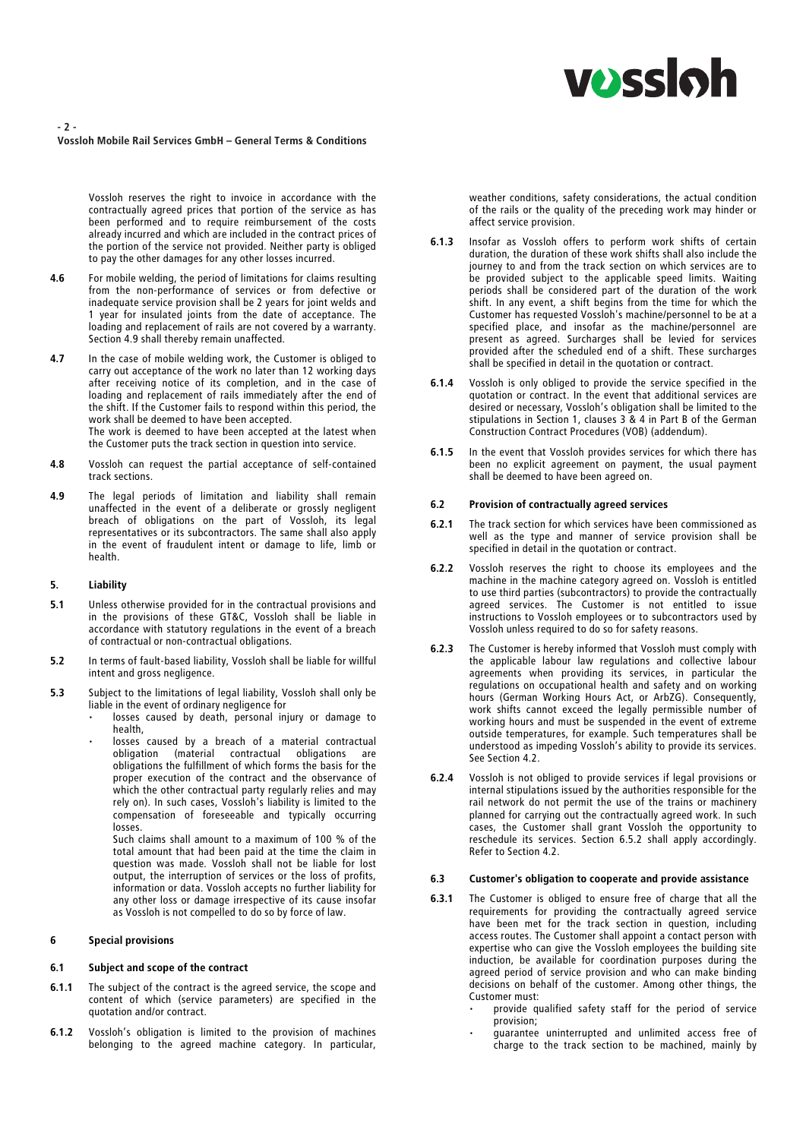# **VOSS**Oh

## - 2 - Vossloh Mobile Rail Services GmbH – General Terms & Conditions

Vossloh reserves the right to invoice in accordance with the contractually agreed prices that portion of the service as has been performed and to require reimbursement of the costs already incurred and which are included in the contract prices of the portion of the service not provided. Neither party is obliged to pay the other damages for any other losses incurred.

- 4.6 For mobile welding, the period of limitations for claims resulting from the non-performance of services or from defective or inadequate service provision shall be 2 years for joint welds and 1 year for insulated joints from the date of acceptance. The loading and replacement of rails are not covered by a warranty. Section 4.9 shall thereby remain unaffected.
- 4.7 In the case of mobile welding work, the Customer is obliged to carry out acceptance of the work no later than 12 working days after receiving notice of its completion, and in the case of after receiving notice of its completion, and in the case of loading and replacement of rails immediately after the end of the shift. If the Customer fails to respond within this period, the work shall be deemed to have been accepted. The work is deemed to have been accepted at the latest when the Customer puts the track section in question into service.
- 4.8 Vossloh can request the partial acceptance of self-contained track sections.
- 4.9 The legal periods of limitation and liability shall remain unaffected in the event of a deliberate or grossly negligent breach of obligations on the part of Vossloh, its legal representatives or its subcontractors. The same shall also apply in the event of fraudulent intent or damage to life, limb or health.

## 5. Liability

- 5.1 Unless otherwise provided for in the contractual provisions and in the provisions of these GT&C, Vossloh shall be liable in accordance with statutory regulations in the event of a breach of contractual or non-contractual obligations.
- 5.2 In terms of fault-based liability, Vossloh shall be liable for willful intent and gross negligence.
- 5.3 Subject to the limitations of legal liability, Vossloh shall only be liable in the event of ordinary negligence for
	- losses caused by death, personal injury or damage to health,
	- losses caused by a breach of a material contractual obligation (material contractual obligations are obligations the fulfillment of which forms the basis for the proper execution of the contract and the observance of which the other contractual party regularly relies and may rely on). In such cases, Vossloh's liability is limited to the compensation of foreseeable and typically occurring losses.

Such claims shall amount to a maximum of 100 % of the total amount that had been paid at the time the claim in question was made. Vossloh shall not be liable for lost output, the interruption of services or the loss of profits, information or data. Vossloh accepts no further liability for any other loss or damage irrespective of its cause insofar as Vossloh is not compelled to do so by force of law.

#### 6 Special provisions

#### 6.1 Subject and scope of the contract

- 6.1.1 The subject of the contract is the agreed service, the scope and content of which (service parameters) are specified in the quotation and/or contract.
- 6.1.2 Vossloh's obligation is limited to the provision of machines belonging to the agreed machine category. In particular,

weather conditions, safety considerations, the actual condition of the rails or the quality of the preceding work may hinder or affect service provision.

- 6.1.3 Insofar as Vossloh offers to perform work shifts of certain duration, the duration of these work shifts shall also include the journey to and from the track section on which services are to be provided subject to the applicable speed limits. Waiting periods shall be considered part of the duration of the work shift. In any event, a shift begins from the time for which the Customer has requested Vossloh's machine/personnel to be at a present as agreed. Surcharges shall be levied for services present as agreed. Surcharges shall be levied for services provided after the scheduled end of a shift. These surcharges shall be specified in detail in the quotation or contract.
- 6.1.4 Vossloh is only obliged to provide the service specified in the quotation or contract. In the event that additional services are desired or necessary, Vossloh's obligation shall be limited to the stipulations in Section 1, clauses 3 & 4 in Part B of the German Construction Contract Procedures (VOB) (addendum).
- 6.1.5 In the event that Vossloh provides services for which there has been no explicit agreement on payment, the usual payment shall be deemed to have been agreed on.

### 6.2 Provision of contractually agreed services

- 6.2.1 The track section for which services have been commissioned as well as the type and manner of service provision shall be specified in detail in the quotation or contract.
- 6.2.2 Vossloh reserves the right to choose its employees and the machine in the machine category agreed on. Vossloh is entitled to use third parties (subcontractors) to provide the contractually agreed services. The Customer is not entitled to issue instructions to Vossloh employees or to subcontractors used by Vossloh unless required to do so for safety reasons.
- 6.2.3 The Customer is hereby informed that Vossloh must comply with the applicable labour law regulations and collective labour agreements when providing its services, in particular the regulations on occupational health and safety and on working hours (German Working Hours Act, or ArbZG). Consequently, work shifts cannot exceed the legally permissible number of working hours and must be suspended in the event of extreme outside temperatures, for example. Such temperatures shall be understood as impeding Vossloh's ability to provide its services. See Section 4.2.
- 6.2.4 Vossloh is not obliged to provide services if legal provisions or internal stipulations issued by the authorities responsible for the rail network do not permit the use of the trains or machinery planned for carrying out the contractually agreed work. In such cases, the Customer shall grant Vossloh the opportunity to reschedule its services. Section 6.5.2 shall apply accordingly. Refer to Section 4.2.

#### 6.3 Customer's obligation to cooperate and provide assistance

- 6.3.1 The Customer is obliged to ensure free of charge that all the requirements for providing the contractually agreed service have been met for the track section in question, including access routes. The Customer shall appoint a contact person with expertise who can give the Vossloh employees the building site induction, be available for coordination purposes during the agreed period of service provision and who can make binding decisions on behalf of the customer. Among other things, the Customer must:
	- provide qualified safety staff for the period of service provision;
	- guarantee uninterrupted and unlimited access free of charge to the track section to be machined, mainly by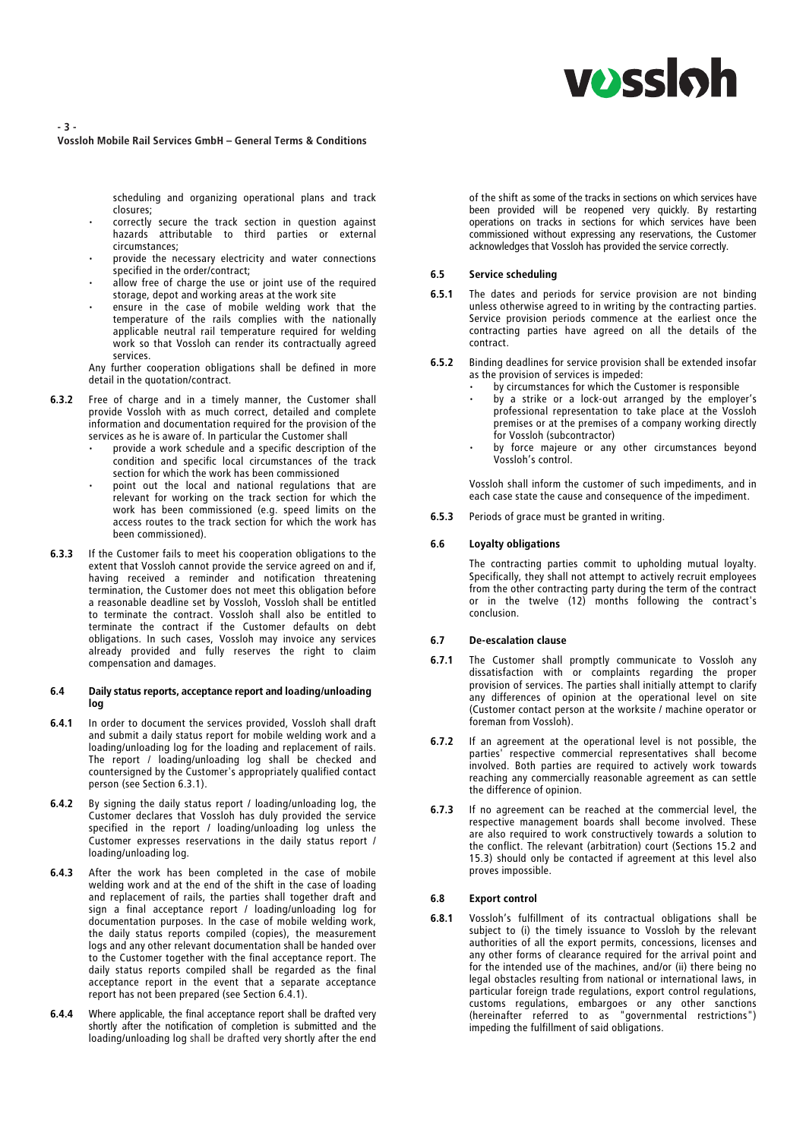# **vossloh**

#### - 3 - Vossloh Mobile Rail Services GmbH – General Terms & Conditions

scheduling and organizing operational plans and track closures;

- correctly secure the track section in question against hazards attributable to third parties or external circumstances;
- provide the necessary electricity and water connections specified in the order/contract;
- allow free of charge the use or joint use of the required storage, depot and working areas at the work site
- ensure in the case of mobile welding work that the temperature of the rails complies with the nationally applicable neutral rail temperature required for welding work so that Vossloh can render its contractually agreed services.
- Any further cooperation obligations shall be defined in more detail in the quotation/contract.
- 6.3.2 Free of charge and in a timely manner, the Customer shall provide Vossloh with as much correct, detailed and complete information and documentation required for the provision of the services as he is aware of. In particular the Customer shall
	- provide a work schedule and a specific description of the condition and specific local circumstances of the track section for which the work has been commissioned
	- point out the local and national regulations that are relevant for working on the track section for which the work has been commissioned (e.g. speed limits on the access routes to the track section for which the work has been commissioned).
- 6.3.3 If the Customer fails to meet his cooperation obligations to the extent that Vossloh cannot provide the service agreed on and if, having received a reminder and notification threatening termination, the Customer does not meet this obligation before a reasonable deadline set by Vossloh, Vossloh shall be entitled to terminate the contract. Vossloh shall also be entitled to terminate the contract if the Customer defaults on debt obligations. In such cases, Vossloh may invoice any services already provided and fully reserves the right to claim compensation and damages.

#### 6.4 Daily status reports, acceptance report and loading/unloading log

- 6.4.1 In order to document the services provided, Vossloh shall draft and submit a daily status report for mobile welding work and a loading/unloading log for the loading and replacement of rails. The report / loading/unloading log shall be checked and countersigned by the Customer's appropriately qualified contact person (see Section 6.3.1).
- 6.4.2 By signing the daily status report / loading/unloading log, the Customer declares that Vossloh has duly provided the service specified in the report / loading/unloading log unless the Customer expresses reservations in the daily status report / loading/unloading log.
- 6.4.3 After the work has been completed in the case of mobile welding work and at the end of the shift in the case of loading and replacement of rails, the parties shall together draft and sign a final acceptance report / loading/unloading log for documentation purposes. In the case of mobile welding work, the daily status reports compiled (copies), the measurement logs and any other relevant documentation shall be handed over to the Customer together with the final acceptance report. The daily status reports compiled shall be regarded as the final acceptance report in the event that a separate acceptance report has not been prepared (see Section 6.4.1).
- 6.4.4 Where applicable, the final acceptance report shall be drafted very shortly after the notification of completion is submitted and the loading/unloading log shall be drafted very shortly after the end

of the shift as some of the tracks in sections on which services have been provided will be reopened very quickly. By restarting operations on tracks in sections for which services have been commissioned without expressing any reservations, the Customer acknowledges that Vossloh has provided the service correctly.

# 6.5 Service scheduling

- 6.5.1 The dates and periods for service provision are not binding unless otherwise agreed to in writing by the contracting parties. Service provision periods commence at the earliest once the contracting parties have agreed on all the details of the contract.
- 6.5.2 Binding deadlines for service provision shall be extended insofar as the provision of services is impeded:
	- by circumstances for which the Customer is responsible
	- by a strike or a lock-out arranged by the employer's professional representation to take place at the Vossloh premises or at the premises of a company working directly for Vossloh (subcontractor)
	- by force majeure or any other circumstances beyond Vossloh's control.

Vossloh shall inform the customer of such impediments, and in each case state the cause and consequence of the impediment.

6.5.3 Periods of grace must be granted in writing.

## 6.6 Loyalty obligations

The contracting parties commit to upholding mutual loyalty. Specifically, they shall not attempt to actively recruit employees from the other contracting party during the term of the contract or in the twelve (12) months following the contract's conclusion.

#### 6.7 De-escalation clause

- 6.7.1 The Customer shall promptly communicate to Vossloh any dissatisfaction with or complaints regarding the proper provision of services. The parties shall initially attempt to clarify any differences of opinion at the operational level on site (Customer contact person at the worksite / machine operator or foreman from Vossloh).
- 6.7.2 If an agreement at the operational level is not possible, the parties' respective commercial representatives shall become involved. Both parties are required to actively work towards reaching any commercially reasonable agreement as can settle the difference of opinion.
- 6.7.3 If no agreement can be reached at the commercial level, the respective management boards shall become involved. These are also required to work constructively towards a solution to the conflict. The relevant (arbitration) court (Sections 15.2 and 15.3) should only be contacted if agreement at this level also proves impossible.

#### 6.8 Export control

6.8.1 Vossloh's fulfillment of its contractual obligations shall be subject to (i) the timely issuance to Vossloh by the relevant authorities of all the export permits, concessions, licenses and any other forms of clearance required for the arrival point and for the intended use of the machines, and/or (ii) there being no legal obstacles resulting from national or international laws, in particular foreign trade regulations, export control regulations, customs regulations, embargoes or any other sanctions (hereinafter referred to as "governmental restrictions") impeding the fulfillment of said obligations.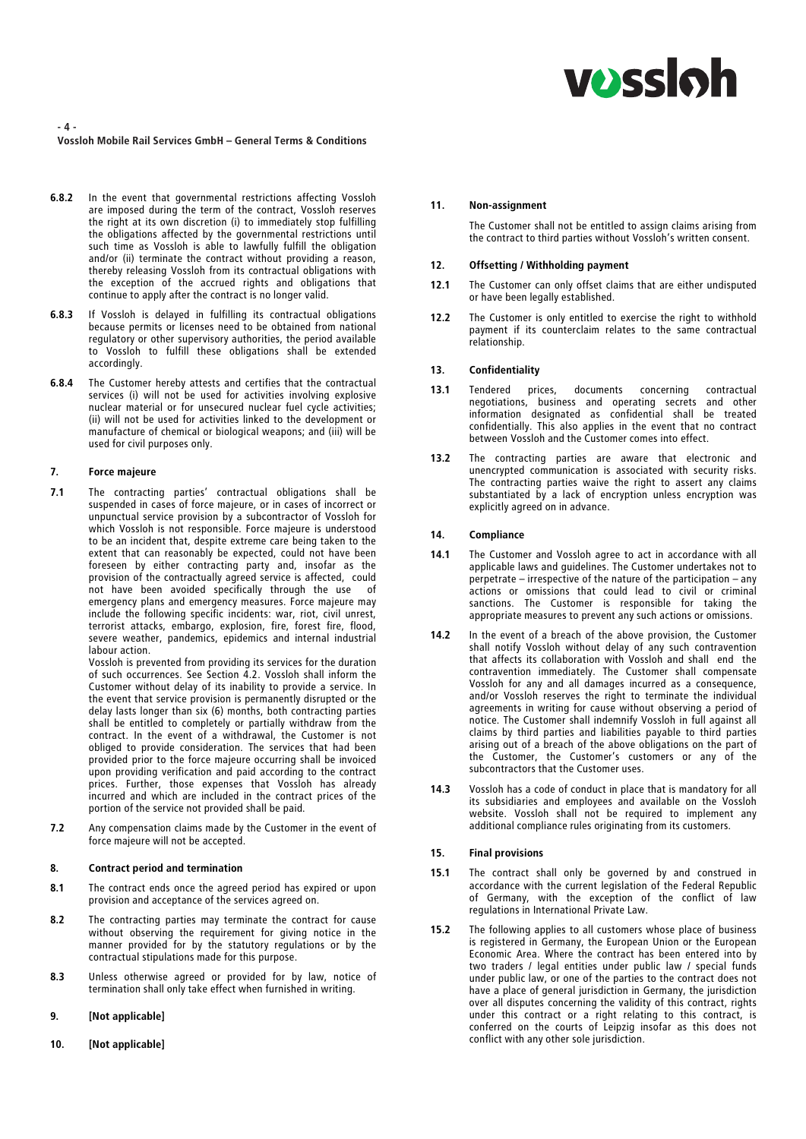# **VOSS**Oh

- 4 - Vossloh Mobile Rail Services GmbH – General Terms & Conditions

- 6.8.2 In the event that governmental restrictions affecting Vossloh are imposed during the term of the contract, Vossloh reserves the right at its own discretion (i) to immediately stop fulfilling the obligations affected by the governmental restrictions until such time as Vossloh is able to lawfully fulfill the obligation and/or (ii) terminate the contract without providing a reason, thereby releasing Vossloh from its contractual obligations with the exception of the accrued rights and obligations that continue to apply after the contract is no longer valid.
- **6.8.3** If Vossloh is delayed in fulfilling its contractual obligations because permits or licenses need to be obtained from national because permits or licenses need to be obtained from national regulatory or other supervisory authorities, the period available to Vossloh to fulfill these obligations shall be extended accordingly.
- **6.8.4** The Customer hereby attests and certifies that the contractual services (i) will not be used for activities involving explosive nuclear material or for unsecured nuclear fuel cycle activities; (ii) will not be used for activities linked to the development or manufacture of chemical or biological weapons; and (iii) will be used for civil purposes only.

# 7. Force majeure

7.1 The contracting parties' contractual obligations shall be suspended in cases of force majeure, or in cases of incorrect or unpunctual service provision by a subcontractor of Vossloh for which Vossloh is not responsible. Force majeure is understood to be an incident that, despite extreme care being taken to the extent that can reasonably be expected, could not have been foreseen by either contracting party and, insofar as the provision of the contractually agreed service is affected, could not have been avoided specifically through the use of emergency plans and emergency measures. Force majeure may include the following specific incidents: war, riot, civil unrest, terrorist attacks, embargo, explosion, fire, forest fire, flood, severe weather, pandemics, epidemics and internal industrial labour action.

> Vossloh is prevented from providing its services for the duration of such occurrences. See Section 4.2. Vossloh shall inform the Customer without delay of its inability to provide a service. In the event that service provision is permanently disrupted or the delay lasts longer than six (6) months, both contracting parties shall be entitled to completely or partially withdraw from the contract. In the event of a withdrawal, the Customer is not obliged to provide consideration. The services that had been provided prior to the force majeure occurring shall be invoiced upon providing verification and paid according to the contract prices. Further, those expenses that Vossloh has already incurred and which are included in the contract prices of the portion of the service not provided shall be paid.

7.2 Any compensation claims made by the Customer in the event of force majeure will not be accepted.

#### 8. Contract period and termination

- 8.1 The contract ends once the agreed period has expired or upon provision and acceptance of the services agreed on.
- 8.2 The contracting parties may terminate the contract for cause without observing the requirement for giving notice in the manner provided for by the statutory regulations or by the contractual stipulations made for this purpose.
- 8.3 Unless otherwise agreed or provided for by law, notice of termination shall only take effect when furnished in writing.
- 9. [Not applicable]
- 10. [Not applicable]

### 11. Non-assignment

The Customer shall not be entitled to assign claims arising from the contract to third parties without Vossloh's written consent.

#### 12. Offsetting / Withholding payment

- 12.1 The Customer can only offset claims that are either undisputed or have been legally established.
- 12.2 The Customer is only entitled to exercise the right to withhold payment if its counterclaim relates to the same contractual relationship.

# 13. Confidentiality

- 13.1 Tendered prices, documents concerning contractual negotiations, business and operating secrets and other information designated as confidential shall be treated confidentially. This also applies in the event that no contract between Vossloh and the Customer comes into effect.
- 13.2 The contracting parties are aware that electronic and unencrypted communication is associated with security risks. The contracting parties waive the right to assert any claims substantiated by a lack of encryption unless encryption was explicitly agreed on in advance.

#### 14. Compliance

- 14.1 The Customer and Vossloh agree to act in accordance with all applicable laws and guidelines. The Customer undertakes not to perpetrate – irrespective of the nature of the participation – any actions or omissions that could lead to civil or criminal sanctions. The Customer is responsible for taking the appropriate measures to prevent any such actions or omissions.
- 14.2 In the event of a breach of the above provision, the Customer shall notify Vossloh without delay of any such contravention that affects its collaboration with Vossloh and shall end the contravention immediately. The Customer shall compensate Vossloh for any and all damages incurred as a consequence, and/or Vossloh reserves the right to terminate the individual agreements in writing for cause without observing a period of notice. The Customer shall indemnify Vossloh in full against all claims by third parties and liabilities payable to third parties arising out of a breach of the above obligations on the part of the Customer, the Customer's customers or any of the subcontractors that the Customer uses.
- 14.3 Vossloh has a code of conduct in place that is mandatory for all its subsidiaries and employees and available on the Vossloh website. Vossloh shall not be required to implement any additional compliance rules originating from its customers.

#### 15. Final provisions

- 15.1 The contract shall only be governed by and construed in accordance with the current legislation of the Federal Republic of Germany, with the exception of the conflict of law regulations in International Private Law.
- 15.2 The following applies to all customers whose place of business is registered in Germany, the European Union or the European Economic Area. Where the contract has been entered into by two traders / legal entities under public law / special funds under public law, or one of the parties to the contract does not have a place of general jurisdiction in Germany, the jurisdiction over all disputes concerning the validity of this contract, rights under this contract or a right relating to this contract, is conferred on the courts of Leipzig insofar as this does not conflict with any other sole jurisdiction.